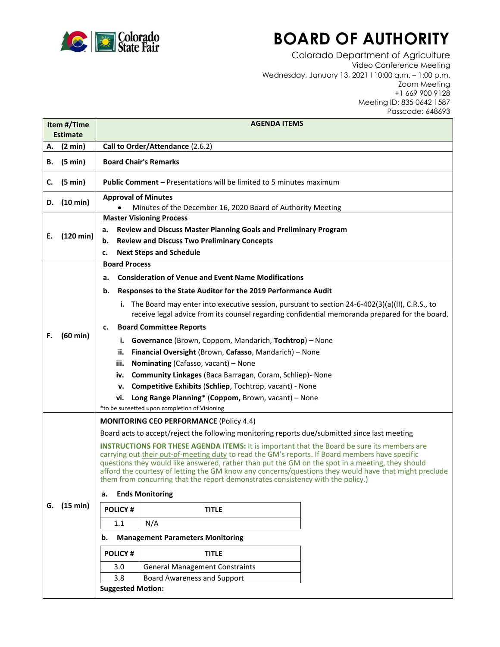

## **BOARD OF AUTHORITY**

Colorado Department of Agriculture Video Conference Meeting Wednesday, January 13, 2021 l 10:00 a.m. – 1:00 p.m. Zoom Meeting +1 669 900 9128 Meeting ID: 835 0642 1587 Passcode: 648693

| Item #/Time<br><b>Estimate</b> |                     | <b>AGENDA ITEMS</b>                                                                                                                                                                                                                                                                                                                                                                                                                                                                                   |
|--------------------------------|---------------------|-------------------------------------------------------------------------------------------------------------------------------------------------------------------------------------------------------------------------------------------------------------------------------------------------------------------------------------------------------------------------------------------------------------------------------------------------------------------------------------------------------|
| А.                             | (2 min)             | Call to Order/Attendance (2.6.2)                                                                                                                                                                                                                                                                                                                                                                                                                                                                      |
| В.                             | (5 min)             | <b>Board Chair's Remarks</b>                                                                                                                                                                                                                                                                                                                                                                                                                                                                          |
| C.                             | (5 min)             | <b>Public Comment - Presentations will be limited to 5 minutes maximum</b>                                                                                                                                                                                                                                                                                                                                                                                                                            |
| D.                             | (10 min)            | <b>Approval of Minutes</b><br>Minutes of the December 16, 2020 Board of Authority Meeting                                                                                                                                                                                                                                                                                                                                                                                                             |
| Е.                             | $(120 \text{ min})$ | <b>Master Visioning Process</b>                                                                                                                                                                                                                                                                                                                                                                                                                                                                       |
|                                |                     | Review and Discuss Master Planning Goals and Preliminary Program<br>а.                                                                                                                                                                                                                                                                                                                                                                                                                                |
|                                |                     | <b>Review and Discuss Two Preliminary Concepts</b><br>b.                                                                                                                                                                                                                                                                                                                                                                                                                                              |
|                                |                     | <b>Next Steps and Schedule</b><br>c.                                                                                                                                                                                                                                                                                                                                                                                                                                                                  |
|                                | $(60 \text{ min})$  | <b>Board Process</b>                                                                                                                                                                                                                                                                                                                                                                                                                                                                                  |
|                                |                     | <b>Consideration of Venue and Event Name Modifications</b><br>a.                                                                                                                                                                                                                                                                                                                                                                                                                                      |
|                                |                     | Responses to the State Auditor for the 2019 Performance Audit<br>b.                                                                                                                                                                                                                                                                                                                                                                                                                                   |
|                                |                     | i. The Board may enter into executive session, pursuant to section $24-6-402(3)(a)(II)$ , C.R.S., to<br>receive legal advice from its counsel regarding confidential memoranda prepared for the board.                                                                                                                                                                                                                                                                                                |
|                                |                     | <b>Board Committee Reports</b><br>c.                                                                                                                                                                                                                                                                                                                                                                                                                                                                  |
| F.                             |                     | i. Governance (Brown, Coppom, Mandarich, Tochtrop) - None                                                                                                                                                                                                                                                                                                                                                                                                                                             |
|                                |                     | Financial Oversight (Brown, Cafasso, Mandarich) - None<br>ii.                                                                                                                                                                                                                                                                                                                                                                                                                                         |
|                                |                     | Nominating (Cafasso, vacant) - None<br>iii.                                                                                                                                                                                                                                                                                                                                                                                                                                                           |
|                                |                     | <b>Community Linkages (Baca Barragan, Coram, Schliep)- None</b><br>iv.                                                                                                                                                                                                                                                                                                                                                                                                                                |
|                                |                     | Competitive Exhibits (Schliep, Tochtrop, vacant) - None<br>v.                                                                                                                                                                                                                                                                                                                                                                                                                                         |
|                                |                     | Long Range Planning* (Coppom, Brown, vacant) - None<br>vi.                                                                                                                                                                                                                                                                                                                                                                                                                                            |
|                                |                     | *to be sunsetted upon completion of Visioning                                                                                                                                                                                                                                                                                                                                                                                                                                                         |
|                                | G. (15 min)         | <b>MONITORING CEO PERFORMANCE (Policy 4.4)</b>                                                                                                                                                                                                                                                                                                                                                                                                                                                        |
|                                |                     | Board acts to accept/reject the following monitoring reports due/submitted since last meeting                                                                                                                                                                                                                                                                                                                                                                                                         |
|                                |                     | <b>INSTRUCTIONS FOR THESE AGENDA ITEMS:</b> It is important that the Board be sure its members are<br>carrying out their out-of-meeting duty to read the GM's reports. If Board members have specific<br>questions they would like answered, rather than put the GM on the spot in a meeting, they should<br>afford the courtesy of letting the GM know any concerns/questions they would have that might preclude<br>them from concurring that the report demonstrates consistency with the policy.) |
|                                |                     | <b>Ends Monitoring</b><br>а.                                                                                                                                                                                                                                                                                                                                                                                                                                                                          |
|                                |                     | <b>POLICY#</b><br><b>TITLE</b>                                                                                                                                                                                                                                                                                                                                                                                                                                                                        |
|                                |                     | N/A<br>1.1                                                                                                                                                                                                                                                                                                                                                                                                                                                                                            |
|                                |                     | <b>Management Parameters Monitoring</b><br>b.                                                                                                                                                                                                                                                                                                                                                                                                                                                         |
|                                |                     | <b>POLICY#</b><br><b>TITLE</b>                                                                                                                                                                                                                                                                                                                                                                                                                                                                        |
|                                |                     | <b>General Management Constraints</b><br>3.0                                                                                                                                                                                                                                                                                                                                                                                                                                                          |
|                                |                     | <b>Board Awareness and Support</b><br>3.8                                                                                                                                                                                                                                                                                                                                                                                                                                                             |
|                                |                     | <b>Suggested Motion:</b>                                                                                                                                                                                                                                                                                                                                                                                                                                                                              |